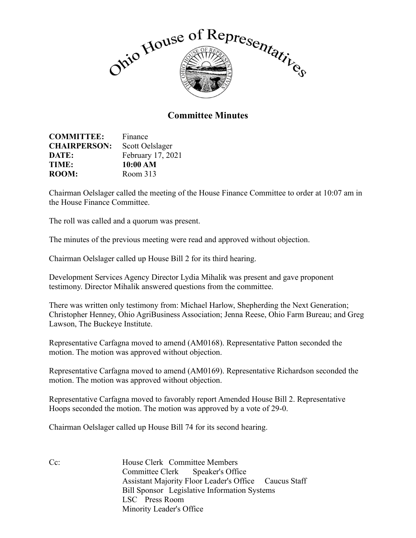

## **Committee Minutes**

| <b>COMMITTEE:</b>   | Finance           |
|---------------------|-------------------|
| <b>CHAIRPERSON:</b> | Scott Oelslager   |
| DATE:               | February 17, 2021 |
| TIME:               | 10:00 AM          |
| <b>ROOM:</b>        | Room 313          |

Chairman Oelslager called the meeting of the House Finance Committee to order at 10:07 am in the House Finance Committee.

The roll was called and a quorum was present.

The minutes of the previous meeting were read and approved without objection.

Chairman Oelslager called up House Bill 2 for its third hearing.

Development Services Agency Director Lydia Mihalik was present and gave proponent testimony. Director Mihalik answered questions from the committee.

There was written only testimony from: Michael Harlow, Shepherding the Next Generation; Christopher Henney, Ohio AgriBusiness Association; Jenna Reese, Ohio Farm Bureau; and Greg Lawson, The Buckeye Institute.

Representative Carfagna moved to amend (AM0168). Representative Patton seconded the motion. The motion was approved without objection.

Representative Carfagna moved to amend (AM0169). Representative Richardson seconded the motion. The motion was approved without objection.

Representative Carfagna moved to favorably report Amended House Bill 2. Representative Hoops seconded the motion. The motion was approved by a vote of 29-0.

Chairman Oelslager called up House Bill 74 for its second hearing.

Cc: House Clerk Committee Members Committee Clerk Speaker's Office Assistant Majority Floor Leader's Office Caucus Staff Bill Sponsor Legislative Information Systems LSC Press Room Minority Leader's Office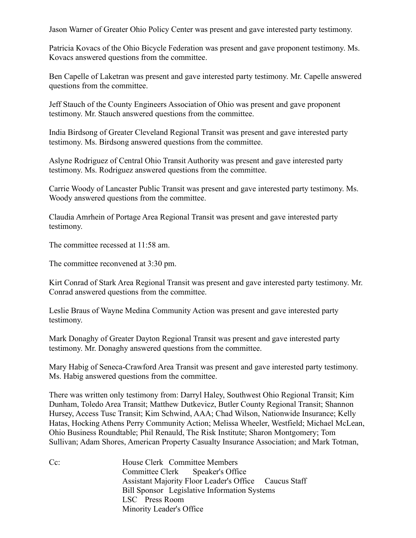Jason Warner of Greater Ohio Policy Center was present and gave interested party testimony.

Patricia Kovacs of the Ohio Bicycle Federation was present and gave proponent testimony. Ms. Kovacs answered questions from the committee.

Ben Capelle of Laketran was present and gave interested party testimony. Mr. Capelle answered questions from the committee.

Jeff Stauch of the County Engineers Association of Ohio was present and gave proponent testimony. Mr. Stauch answered questions from the committee.

India Birdsong of Greater Cleveland Regional Transit was present and gave interested party testimony. Ms. Birdsong answered questions from the committee.

Aslyne Rodriguez of Central Ohio Transit Authority was present and gave interested party testimony. Ms. Rodriguez answered questions from the committee.

Carrie Woody of Lancaster Public Transit was present and gave interested party testimony. Ms. Woody answered questions from the committee.

Claudia Amrhein of Portage Area Regional Transit was present and gave interested party testimony.

The committee recessed at 11:58 am.

The committee reconvened at 3:30 pm.

Kirt Conrad of Stark Area Regional Transit was present and gave interested party testimony. Mr. Conrad answered questions from the committee.

Leslie Braus of Wayne Medina Community Action was present and gave interested party testimony.

Mark Donaghy of Greater Dayton Regional Transit was present and gave interested party testimony. Mr. Donaghy answered questions from the committee.

Mary Habig of Seneca-Crawford Area Transit was present and gave interested party testimony. Ms. Habig answered questions from the committee.

There was written only testimony from: Darryl Haley, Southwest Ohio Regional Transit; Kim Dunham, Toledo Area Transit; Matthew Dutkevicz, Butler County Regional Transit; Shannon Hursey, Access Tusc Transit; Kim Schwind, AAA; Chad Wilson, Nationwide Insurance; Kelly Hatas, Hocking Athens Perry Community Action; Melissa Wheeler, Westfield; Michael McLean, Ohio Business Roundtable; Phil Renauld, The Risk Institute; Sharon Montgomery; Tom Sullivan; Adam Shores, American Property Casualty Insurance Association; and Mark Totman,

Cc: House Clerk Committee Members Committee Clerk Speaker's Office Assistant Majority Floor Leader's Office Caucus Staff Bill Sponsor Legislative Information Systems LSC Press Room Minority Leader's Office